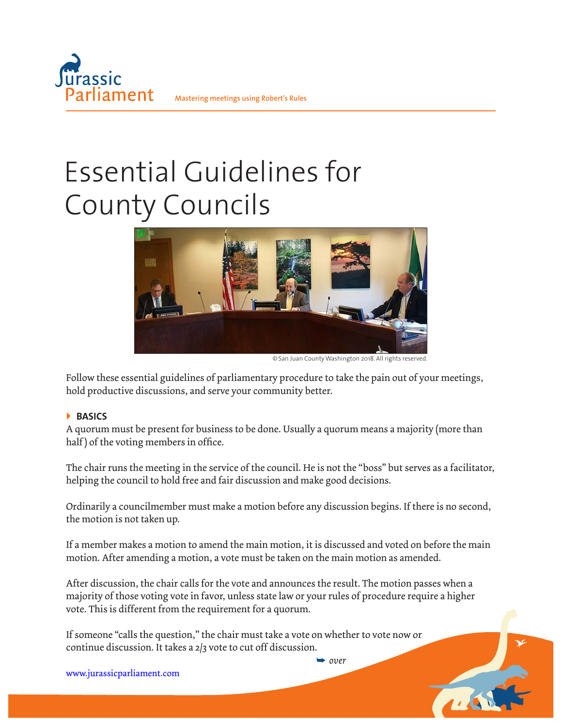

# Essential Guidelines for County Councils



©San Juan County Washington 2018. All rights reserved.

Follow these essential guidelines of parliamentary procedure to take the pain out of your meetings, hold productive discussions, and serve your community better.

## **BASICS**

A quorum must be present for business to be done. Usually a quorum means a majority (more than half) of the voting members in office.

The chair runs the meeting in the service of the council. He is not the "boss" but serves as a facilitator, helping the council to hold free and fair discussion and make good decisions.

Ordinarily a councilmember must make a motion before any discussion begins. If there is no second, the motion is not taken up.

If a member makes a motion to amend the main motion, it is discussed and voted on before the main motion. After amending a motion, a vote must be taken on the main motion as amended.

After discussion, the chair calls for the vote and announces the result. The motion passes when a majority of those voting vote in favor, unless state law or your rules of procedure require a higher vote. This is different from the requirement for a quorum.

➥ *over*

TIAN

If someone "calls the question," the chair must take a vote on whether to vote now or continue discussion. It takes a 2/3 vote to cut off discussion.

www.jurassicparliament.com